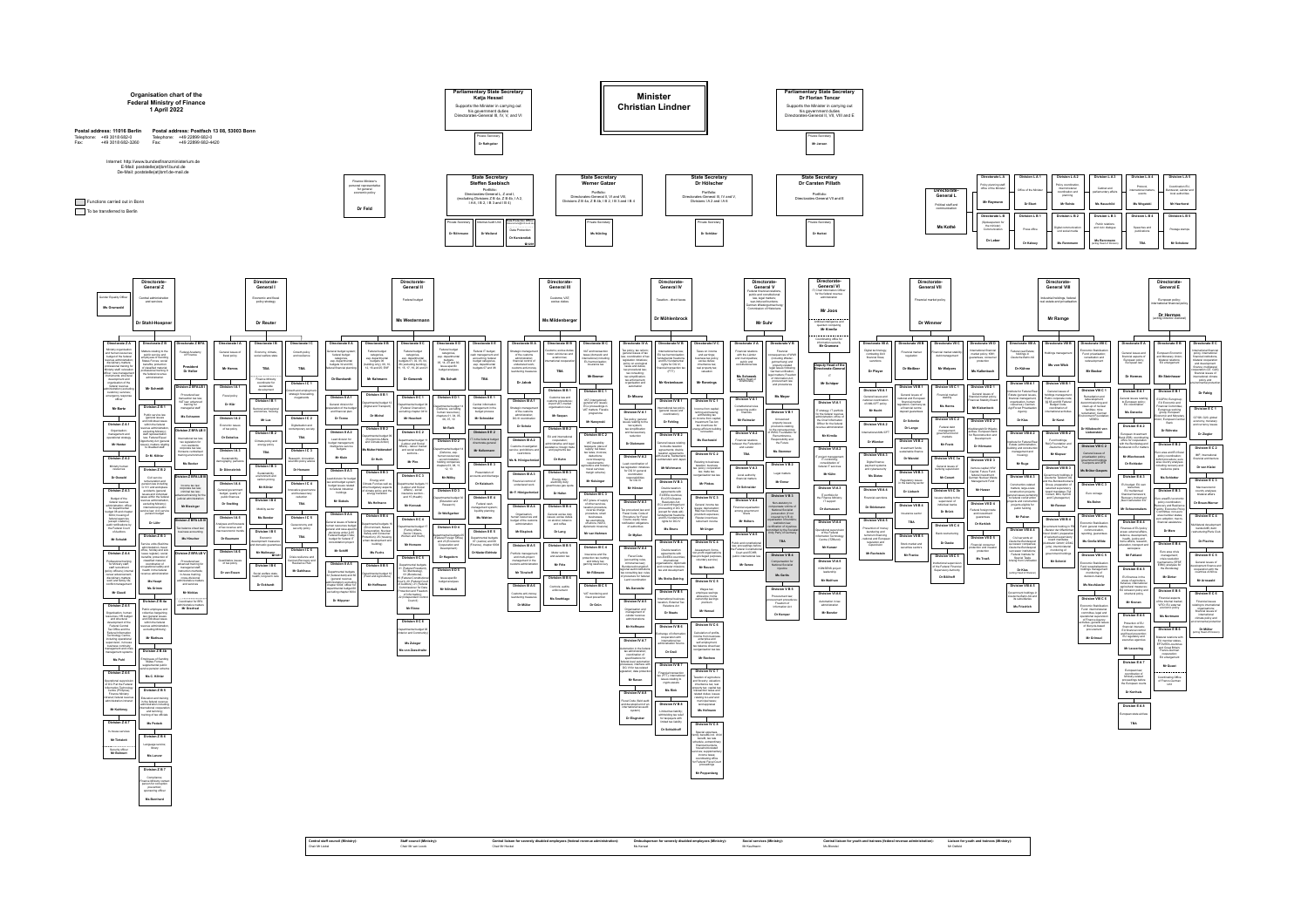## **Organisation chart of the Federal Ministry of Finance 1 April 2022**

**Postal address: 11016 Berlin Postal address: Postfach 13 08, 53003 Bonn** Telephone: +49 3018 682-0 Fax: +49 3018 682-3260

Telephone: +49 22899 682-0 Fax: +49 22899 682-4420

Internet: http://www.bundesfinanzministerium.de E-Mail: poststelle(at)bmf.bund.de De-Mail: poststelle(at)bmf.de-mail.de





Gender Equality Officer **Ms Grunwald**

Ministry organisation<br>and human resources:<br>budget of the federal<br>revenue administration;<br>disciplinary matters;<br>professional training for<br>Ministry starf, relocation<br>for officer; new management<br>instruments; structural<br>develo

customs); services; emergency response officer

**Functions carried out in Bonn** To be transferred to Berlin

**Division Z A 2**

|                                                                     | Directorate-<br><b>General Z</b>                                      |                                                                 |                                              | Directorate-<br>General I                                   |                                                   |                                                                           |                                                                          | Directorate-<br>General II                                   |                                                                 |                                                                        |
|---------------------------------------------------------------------|-----------------------------------------------------------------------|-----------------------------------------------------------------|----------------------------------------------|-------------------------------------------------------------|---------------------------------------------------|---------------------------------------------------------------------------|--------------------------------------------------------------------------|--------------------------------------------------------------|-----------------------------------------------------------------|------------------------------------------------------------------------|
|                                                                     |                                                                       |                                                                 |                                              |                                                             |                                                   |                                                                           |                                                                          |                                                              |                                                                 |                                                                        |
| F Equality Officer<br>Grunwald                                      | Central administration<br>and services                                |                                                                 |                                              | Economic and fiscal<br>policy strategy                      |                                                   |                                                                           |                                                                          | Federal budget                                               |                                                                 |                                                                        |
|                                                                     | Dr Stahl-Hoepner                                                      |                                                                 |                                              | Dr Reuter                                                   |                                                   |                                                                           |                                                                          | <b>Ms Westermann</b>                                         |                                                                 |                                                                        |
|                                                                     |                                                                       |                                                                 |                                              |                                                             |                                                   |                                                                           |                                                                          |                                                              |                                                                 |                                                                        |
| Directorate Z A                                                     | Directorate Z B                                                       | Directorate Z BFA                                               | Directorate I A                              | Directorate I B                                             | Directorate I C                                   | Directorate II A                                                          | Directorate II B                                                         | Directorate II C                                             | Directorate II D                                                | Directorate II E                                                       |
| linistry organisation                                               |                                                                       |                                                                 |                                              |                                                             |                                                   |                                                                           |                                                                          |                                                              | Federal budget                                                  |                                                                        |
| d human resources;<br>udget of the federal                          | Matters relating to the<br>public service and<br>employees of Sending | Federal Academy<br>of Finance                                   | General issues of<br>fiscal policy           | Economy, climate,<br>social welfare state                   | Growth policy<br>and resilience                   | General budget system;<br>federal budget<br>categories,                   | Federal budget<br>categories,<br>esp. departmental                       | Federal budget<br>categories,<br>esp. departmental           | categories,<br>esp. departmental                                | Federal IT budget;<br>cash management and<br>accounting; federal       |
| /enue administration;<br>lisciplinary matters;                      | States Forces; social<br>benefits; protection                         |                                                                 |                                              |                                                             |                                                   | esp. departmental<br>budgets 32 and 60;                                   | budgets 06<br>(building only), 09, 10                                    | budgets 01, 02, 03, 04<br>06 (excluding building)            | budgets<br>05, 14, 23 and 30;                                   | budget categories,<br>esp. departmental                                |
| ofessional training for<br>nistry staff; relocation                 | of classified material;<br>professional training in                   | President<br>Dr Heller                                          | <b>Mr Herres</b>                             | TBA                                                         | TBA                                               | ederal financial planning                                                 | 12, 16 and 25; EKF                                                       | 11, 15, 17, 19, 20 and 21                                    | Issue-specific<br>budget analyses                               | budgets 07 and 08                                                      |
| cer; new managemen<br>struments; structural<br>development and      | the federal revenue<br>administration                                 |                                                                 |                                              |                                                             |                                                   | Dr Burckardt                                                              | Mr Kahmann                                                               | Dr Goworek                                                   | <b>Ms Schutt</b>                                                | TBA                                                                    |
| organisation of the<br>federal revenue                              |                                                                       |                                                                 |                                              | <b>Finance Ministry</b><br>coordinator for<br>sustainable   | Division I C 1                                    |                                                                           |                                                                          |                                                              |                                                                 |                                                                        |
| ninistration (excluding<br>customs); services;                      | <b>Mr Schmidt</b>                                                     | Division Z BFA LB I                                             | Division I A 1                               | development                                                 | Growth and employment,<br>strategic forecasting,  |                                                                           |                                                                          |                                                              |                                                                 |                                                                        |
| mergency response<br>officer                                        |                                                                       | Procedural law;<br>transaction tax law;                         | Fiscal policy                                | Division I B 1                                              | megatrends                                        | Division II A 1                                                           | Division II B 1                                                          | Division II C 1                                              | Division II D 1                                                 | Division II E 1                                                        |
|                                                                     | Division Z B 1                                                        | VAT law: advanced<br>training for                               | Dr Klär                                      |                                                             |                                                   | General division for<br>reparation of the budget                          | Departmental budget 12<br>(Digital and Transport)                        | Departmental budget 04<br>(Federal Chancellor)               | Departmental budget 14                                          | Central information<br>management in the                               |
| <b>Mr Bartz</b>                                                     | Public service law                                                    | managerial staff                                                |                                              | Sectoral and regional<br>economies, housing                 |                                                   | and financial plan                                                        |                                                                          | excluding chapter 0414                                       | (Defence, excluding<br>human resources);                        | budget process                                                         |
|                                                                     | (general issues<br>and individual cases                               | Ms Schramm                                                      | Division I A 2                               | Mr Lux                                                      | Division I C 2                                    | Dr Tonne                                                                  | Dr Michel                                                                | <b>Mr Heuchert</b>                                           | chapters 01, 04, 05,<br>06, 07, 10                              | Mr Schneider                                                           |
| Division Z A 1                                                      | within the federal<br>evenue administration                           |                                                                 | Economic issues<br>of tax policy             |                                                             | Digitalisation and<br>contemporary society        |                                                                           | Division II B 2                                                          |                                                              | Mr Rath                                                         |                                                                        |
| Organisation;<br>management and                                     | excluding Ministry);<br>staff representation                          | Division Z BFA LB II                                            |                                              | Division I B 2                                              |                                                   | Division II A 2                                                           | Departmental budget 09                                                   | Division II C 2                                              |                                                                 | Division II E 2                                                        |
| perational strategy                                                 | law; Federal Equal<br>Opportunity Act (general                        | International tax law;<br>tax legislation for                   | Dr Debelius                                  | Climate policy and                                          | TBA                                               | Lead division for<br>budget management;                                   | (Economics Affairs<br>and Climate Action)                                | Departmental budget 11<br>(Labour and Social                 | Division II D 2                                                 | IT in the federal budget<br>directorate-general                        |
| <b>Mr Henter</b>                                                    | issues); matters relating<br>to disabled staff                        | non-residents;<br>corporate tax law;                            | Division I A 3                               | energy policy                                               | Division I C 3                                    | intelligence service<br>budgets                                           | Ms Multer-Heidersdorf                                                    | Affairs) - labour market<br>and social welfare               | Departmental budget 14                                          | Mr Kellermann                                                          |
|                                                                     | Dr M. Köhler                                                          | Konsens centralised<br>training environment                     |                                              | TBA                                                         |                                                   | Mr Klein                                                                  |                                                                          | sections -                                                   | (Defence, esp.<br>human resources)                              |                                                                        |
| Division ZA2                                                        |                                                                       | <b>Ms Becker</b>                                                | Sustainability,<br>demography, pensions      |                                                             | Research, innovation,<br>scientific policy advice |                                                                           | Dr Huth                                                                  | <b>Mr Piro</b>                                               | - accommodation,<br>holding companies;                          | Division II E 3                                                        |
| Ministry human<br>resources                                         | Division Z B 2                                                        |                                                                 | Dr Dönnebrink                                | Division I B 3                                              | Dr Homann                                         | Division II A 3                                                           | Division II B 3                                                          |                                                              | chapters 03, 08, 11,<br>12, 13                                  | Presentation of                                                        |
| Dr Oswald                                                           | Civil service                                                         | Division Z BFA LB III                                           |                                              | Sustainability,<br>environment and<br>carbon pricing        |                                                   | Lead division for budget                                                  |                                                                          | Division II C 3                                              | Mr Wölky                                                        | accounts and discharge                                                 |
|                                                                     | remuneration and<br>pension law including                             | Income tax law;                                                 | Division I A 4                               | Mr Köhler                                                   | Division I C 4                                    | law and budget system;<br>budget issues related                           | Energy and<br>Climate Fund as well as<br>other budgetary aspects         | Departmental budgets 11<br>(Labour and Social                |                                                                 | Dr Kalabuch                                                            |
| Division Z A 3                                                      | G 131 and workplace<br>accidents (general<br>issues and individual    | corporate tax law;<br>criminal tax law;                         | General government<br>budget, quality of     |                                                             | Innovative governance<br>and bureaucracy          | to federal industrial<br>holdings                                         | of climate policy and the<br>energy transition                           | Affairs) - social<br>insurance section -                     | Division II D 3                                                 |                                                                        |
| Budget of the<br>federal revenue                                    | cases within the federal<br>revenue administration,                   | advanced training for the<br>judicial administration            | public finances                              | Division I B 4                                              | reduction                                         | <b>Mr Siebels</b>                                                         |                                                                          | and 15 (Health)                                              | Departmental budget 30<br>(Education and                        | Division II E 4                                                        |
| dministration; officer<br>for departmental                          | excluding Ministry);<br>international public                          | Mr Blesinger                                                    | <b>Dr Snelting</b>                           | Mobility sector                                             | TBA                                               |                                                                           | Ms Hofmann                                                               | <b>Mr Korczak</b>                                            | Research)                                                       | Federal cash<br>management system                                      |
| dget 08 and chapter<br>6004; housing of                             | service law; civil service<br>pension budget                          |                                                                 |                                              |                                                             |                                                   | Division II A 4                                                           | Division II B 4                                                          |                                                              | Dr Weißgerber                                                   | liquidity planning                                                     |
| federal agencies<br>(except customs);                               | Dr Löhr                                                               | Division Z BFA LB IV                                            | Division I A 5                               | <b>Ms Bender</b>                                            | Division I C 5                                    | General issues of federa                                                  |                                                                          | Division II C 4                                              |                                                                 | <b>Ms Wahlen</b>                                                       |
| udit notifications by<br>the Federal Court                          |                                                                       | Tax balance sheet law;                                          | Analyses and forecasts<br>of tax revenue and |                                                             | Geoeconomy and<br>security policy                 | human resources budget<br>general and case-specific                       | Departmental budgets 16<br>(Environment, Nature<br>Conservation, Nuclear | Departmental budget 17<br>(Family Affairs,                   | Division II D 4                                                 |                                                                        |
| of Auditors                                                         | Division Z B 3                                                        | business accounting                                             | macroeconomic trends                         | Division I B 5                                              | TBA                                               | decisions under § 65<br>Federal Budget Code;                              | Safety and Consumer<br>Protection); 25 (housing,                         | Senior Citizens,<br>Women and Youth)                         | Departmental budgets 05                                         | Division II E 5                                                        |
| <b>Mr Schuldt</b>                                                   | Service units (flexitime                                              | <b>Ms Hirscher</b>                                              | Dr Baumann                                   | Economic<br>development measures<br>and domestic guarantees |                                                   | budget for federal IT<br>consolidation project                            | urban development and<br>building)                                       | <b>Mr Homann</b>                                             | (Federal Foreign Office)<br>and 23 (Economic<br>Cooperation and | Departmental budgets<br>07 (Justice) and 08<br>(Finance), chapter 6004 |
|                                                                     | administration, travel<br>office, holiday and sick                    | Division Z BFA LB V                                             | Division I A 6                               | Mr Wellmann                                                 | Division I C 6                                    | Mr Schiffl                                                                | <b>Ms Fuchs</b>                                                          |                                                              | Development)                                                    | Dr Nieder-Eichholz                                                     |
| Division Z A 4                                                      | leave register); social<br>benefits; protection of                    |                                                                 | Quantitative issues                          | 曾1281                                                       | Crisis resilience and<br>German Recovery and      |                                                                           |                                                                          | Division II C 5                                              | Dr Hagedorn                                                     |                                                                        |
| rofessional training<br>for Ministry staff;                         | classified material;<br>coordination of<br>occupational safety and    | Procedural law;<br>advanced training for                        | of tax policy                                | Division I B 6                                              | Resilience Plan                                   | Division II A 5                                                           | Division II B 5                                                          | Departmental budgets                                         |                                                                 |                                                                        |
| staff recruitment<br>iicy officers); internal<br>areer advancement; | health in the federal<br>revenue administration                       | managerial staff;<br>instruction methods;<br>in-house training; | Dr van Essen                                 | Social welfare state,                                       | Mr Dahlhaus                                       | Departmental budgets                                                      | Departmental budget 10                                                   | 01 (Federal President)<br>02 (Bundestag),<br>03 (Bundesrat), | Division II D 5                                                 |                                                                        |
| lisciplinary matters;<br>vork and family life;                      | <b>Ms Haupt</b>                                                       | cross-divisional<br>administrative matters                      |                                              | health, long-term care                                      |                                                   | 32 (federal debt) and 60<br>(general revenue<br>administration) excluding | (Food and Agriculture)                                                   | 19 (Federal Constitutional<br>Court), 20 (Federal Court      | Issue-specific<br>budget analyses                               |                                                                        |
| onflict management                                                  | <b>Ms Grimm</b>                                                       | and services                                                    |                                              | Dr Eckhardt                                                 |                                                   | chapter 6004; officer for<br>departmental budget 60                       | Mr Hoffmann                                                              | of Auditors); 21 (Federal<br>Commissioner for Data           |                                                                 |                                                                        |
| <b>Mr Claudi</b>                                                    |                                                                       | <b>Mr Nicklas</b>                                               |                                              |                                                             |                                                   | excluding chapter 6004                                                    |                                                                          | Protection and Freedom<br>of Information);                   | Mr Nöhrbaß                                                      |                                                                        |
|                                                                     | Division Z B 4a                                                       | Coordinator for BFA                                             |                                              |                                                             |                                                   | Dr Höppner                                                                |                                                                          | 22 (Independent Control<br>Council)                          |                                                                 |                                                                        |
| Division Z A 5                                                      | Public employee and                                                   | administrative matters<br><b>Mr Drechsel</b>                    |                                              |                                                             |                                                   |                                                                           |                                                                          | Mr Rinne                                                     |                                                                 |                                                                        |
| rganisation, human<br>sources, HR budget                            | collective bargaining<br>law (general issues                          |                                                                 |                                              |                                                             |                                                   |                                                                           |                                                                          |                                                              |                                                                 |                                                                        |
| and structural<br>development of the                                | and individual cases<br>within the federal                            |                                                                 |                                              |                                                             |                                                   |                                                                           |                                                                          | Division II C 6                                              |                                                                 |                                                                        |
| <b>Federal Central</b><br>Tax Office and the<br>ederal Information  | evenue administration,<br>excluding Ministry)                         |                                                                 |                                              |                                                             |                                                   |                                                                           |                                                                          | Departmental budget 06<br>(Interior and Community)           |                                                                 |                                                                        |
| <b>Fechnology Centre,</b><br>cluding operational                    | <b>Mr Riethues</b>                                                    |                                                                 |                                              |                                                             |                                                   |                                                                           |                                                                          |                                                              |                                                                 |                                                                        |
| upervision; in-house<br>ousiness continuity                         |                                                                       |                                                                 |                                              |                                                             |                                                   |                                                                           |                                                                          | Ms Zuleger                                                   |                                                                 |                                                                        |
| anagement and crisis<br>anagement systems                           | Division Z B 4b                                                       |                                                                 |                                              |                                                             |                                                   |                                                                           |                                                                          | Ms von Zezschwitz                                            |                                                                 |                                                                        |
| Ms Puhl                                                             | <b>Employees of Sending</b><br><b>States Forces:</b>                  |                                                                 |                                              |                                                             |                                                   |                                                                           |                                                                          |                                                              |                                                                 |                                                                        |
|                                                                     | supplemental public<br>service pension scheme                         |                                                                 |                                              |                                                             |                                                   |                                                                           |                                                                          |                                                              |                                                                 |                                                                        |

**Division Z A 3**

**Division Z A 4**

Professional training for Ministry staff; staff recruitment (policy officers); internal career advancement;

disciplinary matters; work and family life; conflict management

Budget of the administration; officer<br>federal revenue<br>administration; officer<br>budget 08 and chapter<br>6004; housing of<br>federal agencies<br>(except customs);<br>audit notifications by<br>the Federal Court<br>of Auditors

**Division Z A 5**

Organisation, human<br>resources, HR budget<br>and structural<br>Federal Central<br>Federal Central<br>Tax Office and the<br>Federal Information<br>Technology Centre,<br>including operational<br>supervision; in-house<br>business continuity<br>management a

**Division Z A 6** 

Operational supervision of DG P at the Federal Information Technology Centre (PVSplus); Finance Ministry intranet; federal revenue administration intranet

**Mr Kuhlmey**

 $\overline{\phantom{a}}$ 

**Division Z A 7** In-house services **Mr Tintelott**

Security officer **Mr Bohnert**

**Division Z B 5**

Education and training in the federal revenue administration including national coop and twinning; training of tax officials

**Ms C. Köhler**

**Ms Pedack**

**Division Z B 6** Language service; library **Ms Lanver**

**Division Z B 7**

Compliance; Finance Ministry contact person for corruption prevention; sponsoring officer

**Ms Bernhard**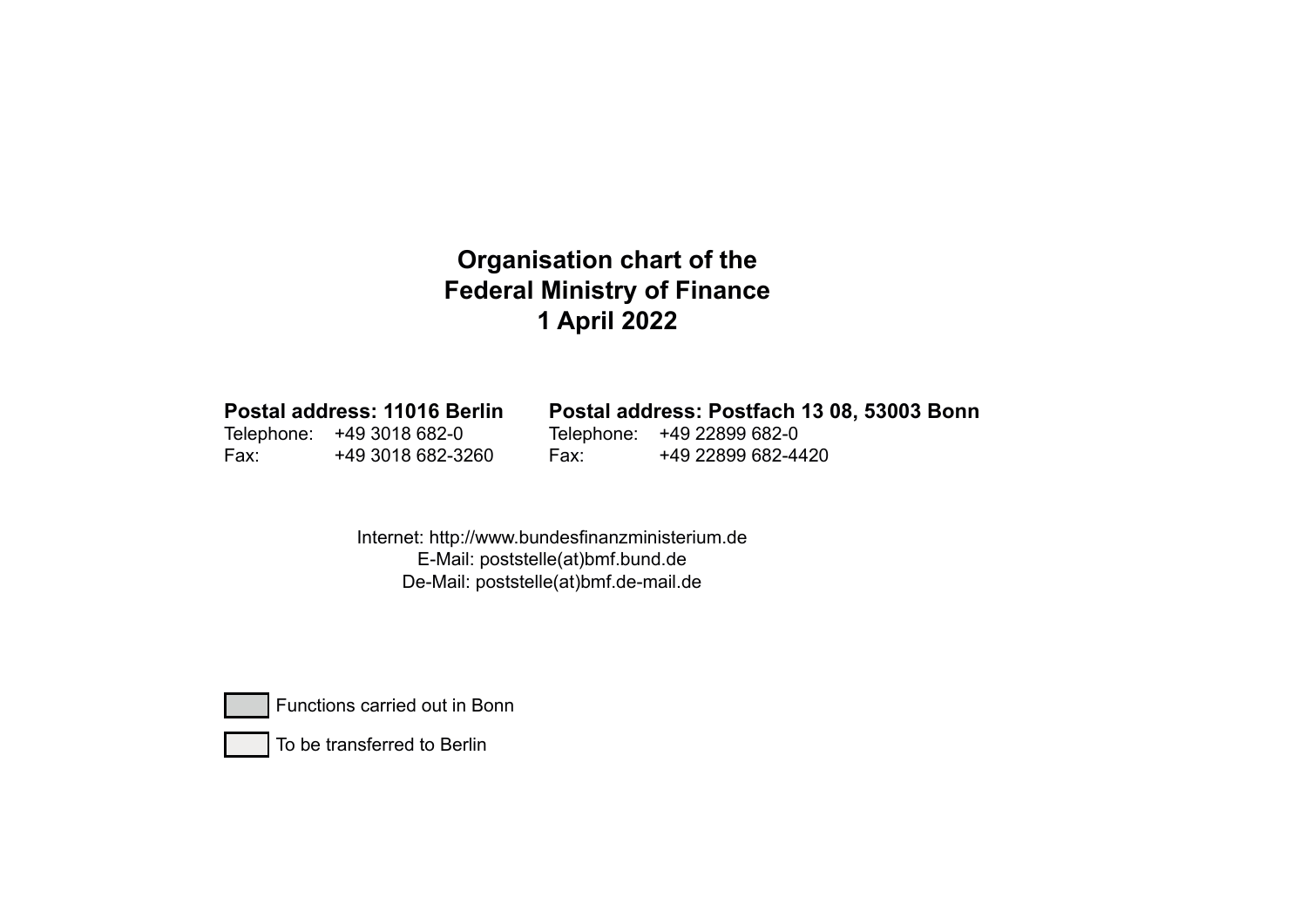## **Organisation chart of the Federal Ministry of Finance 1 April 2022**

**Postal address: 11016 Berlin** Telephone: +49 3018 682-0 Fax: +49 3018 682-3260Postal address: Postfach 13 08, 53003 Bonn Telephone: +49 22899 682-0 Fax: +49 22899 682-4420

> Internet: http://www.bundesfinanzministerium.de E-Mail: poststelle(at)bmf.bund.de De-Mail: poststelle(at)bmf.de-mail.de



Functions carried out in Bonn



To be transferred to Berlin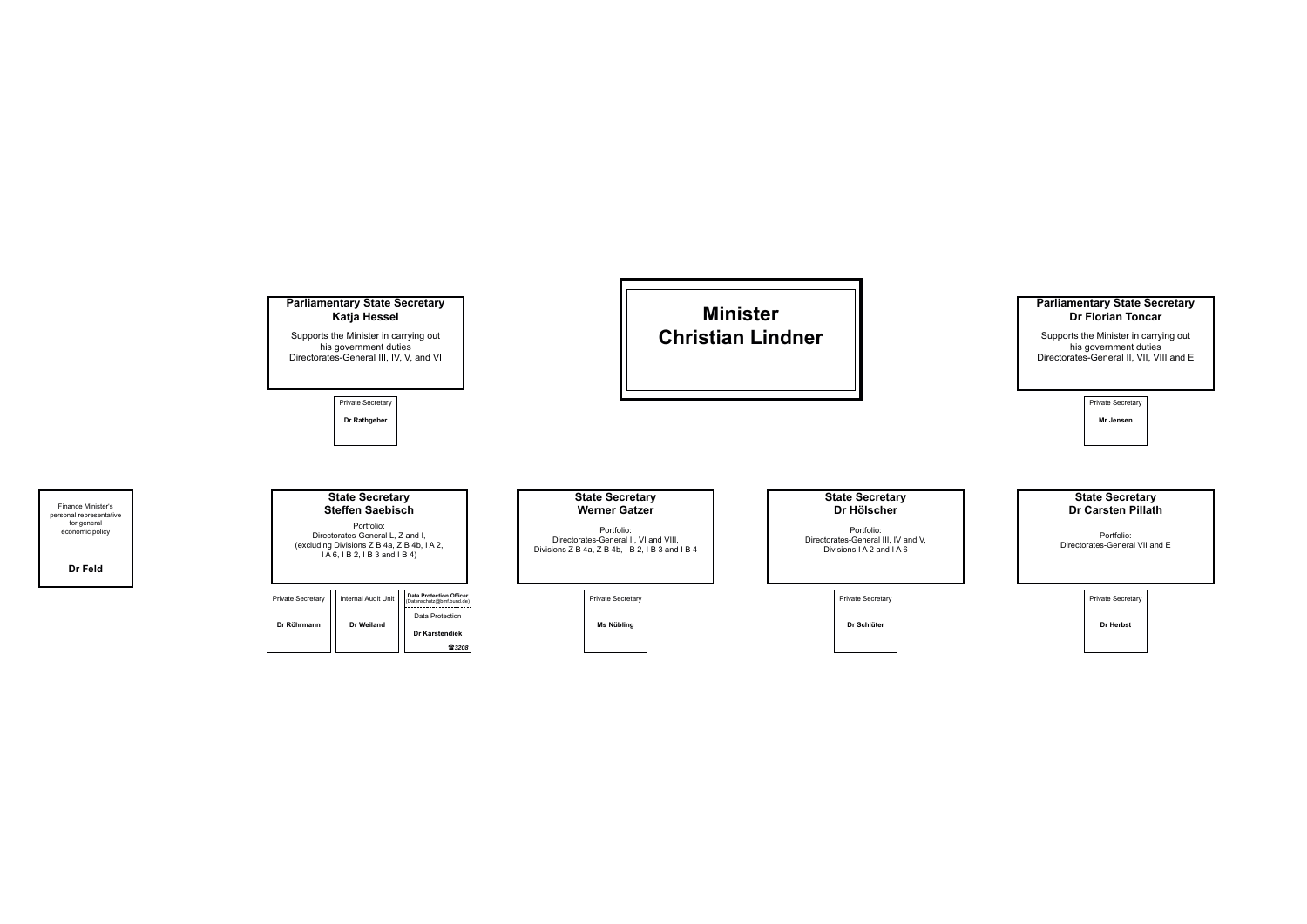

Finance Minister's personal representative for general economic policy

**Dr Feld**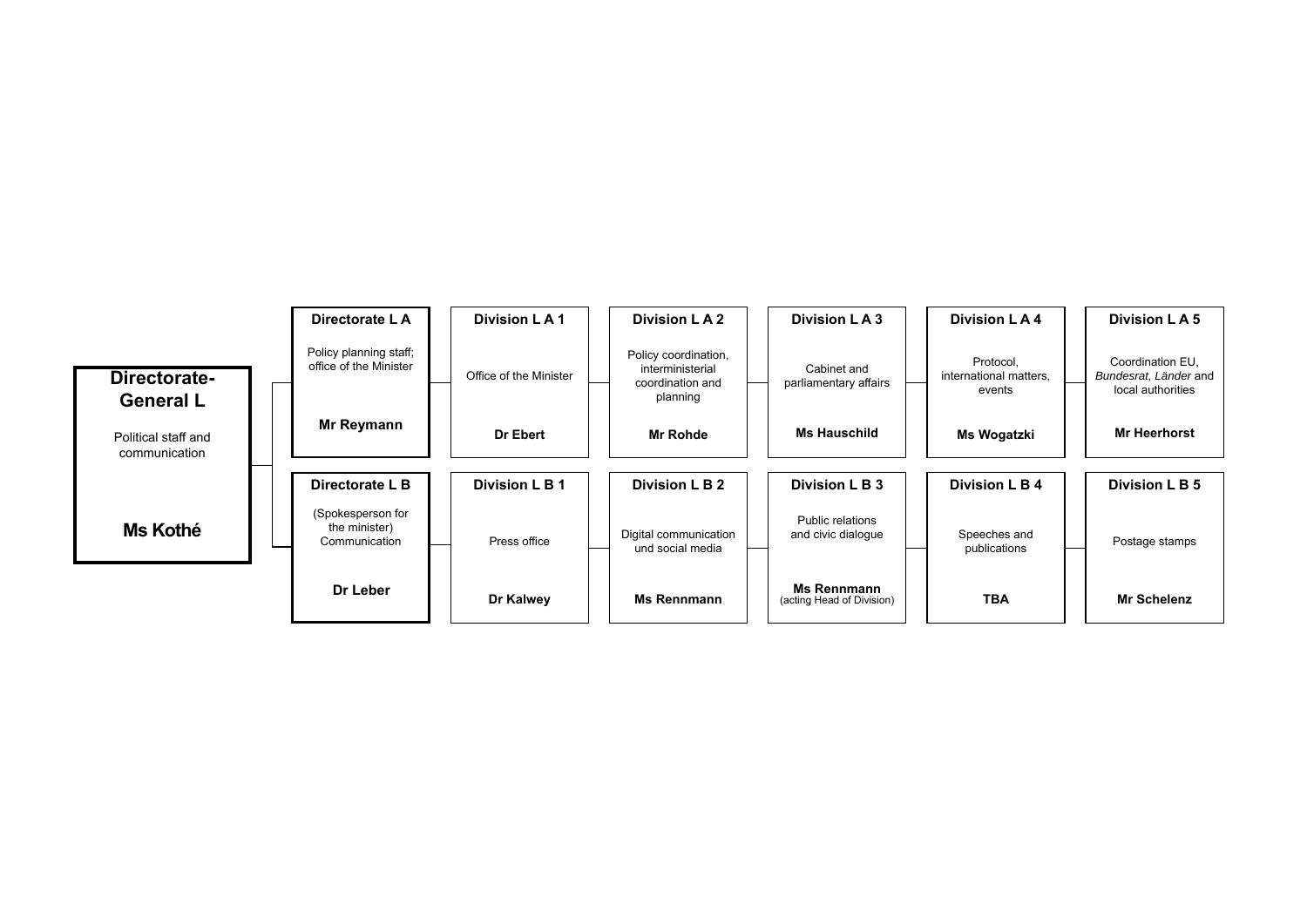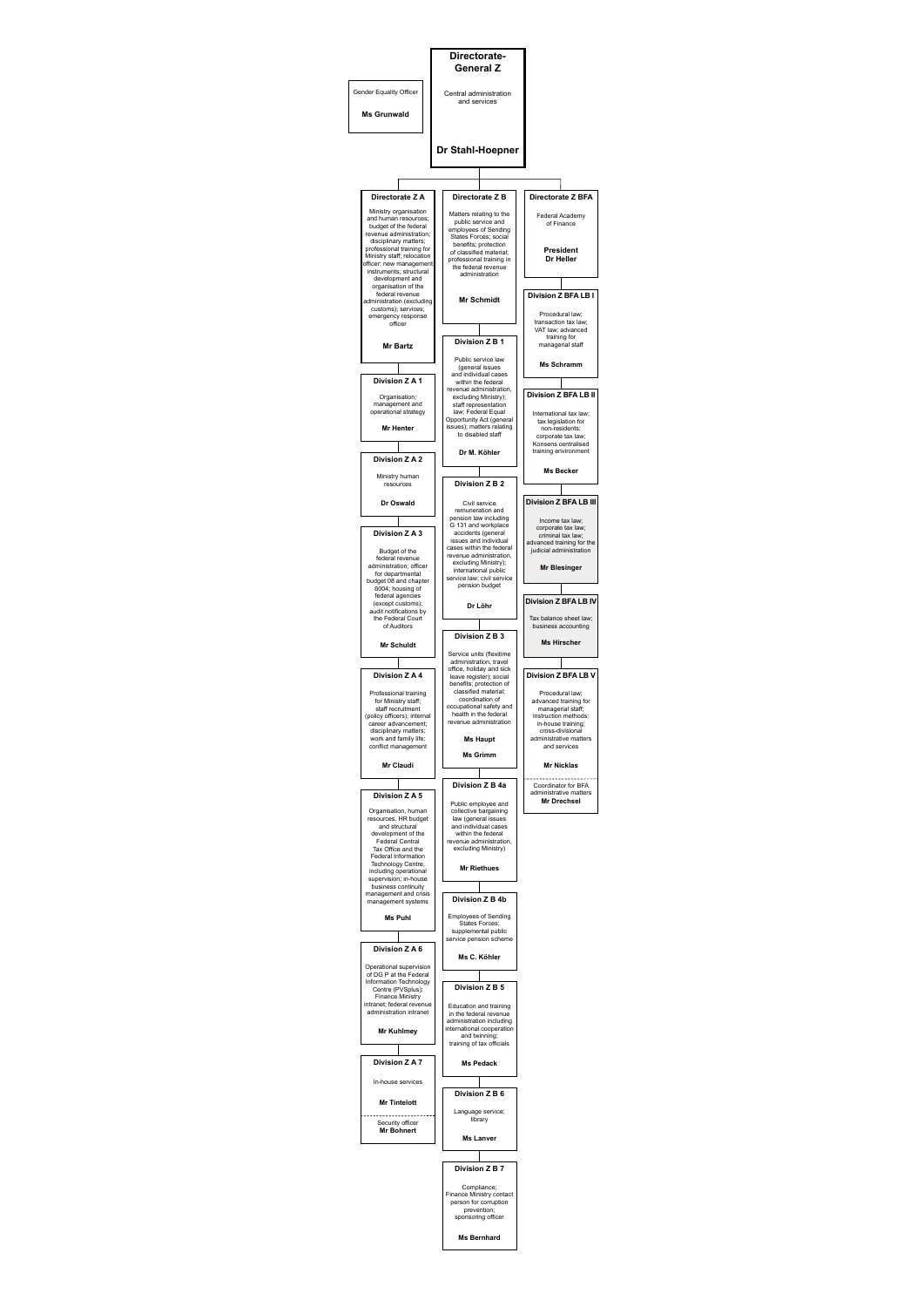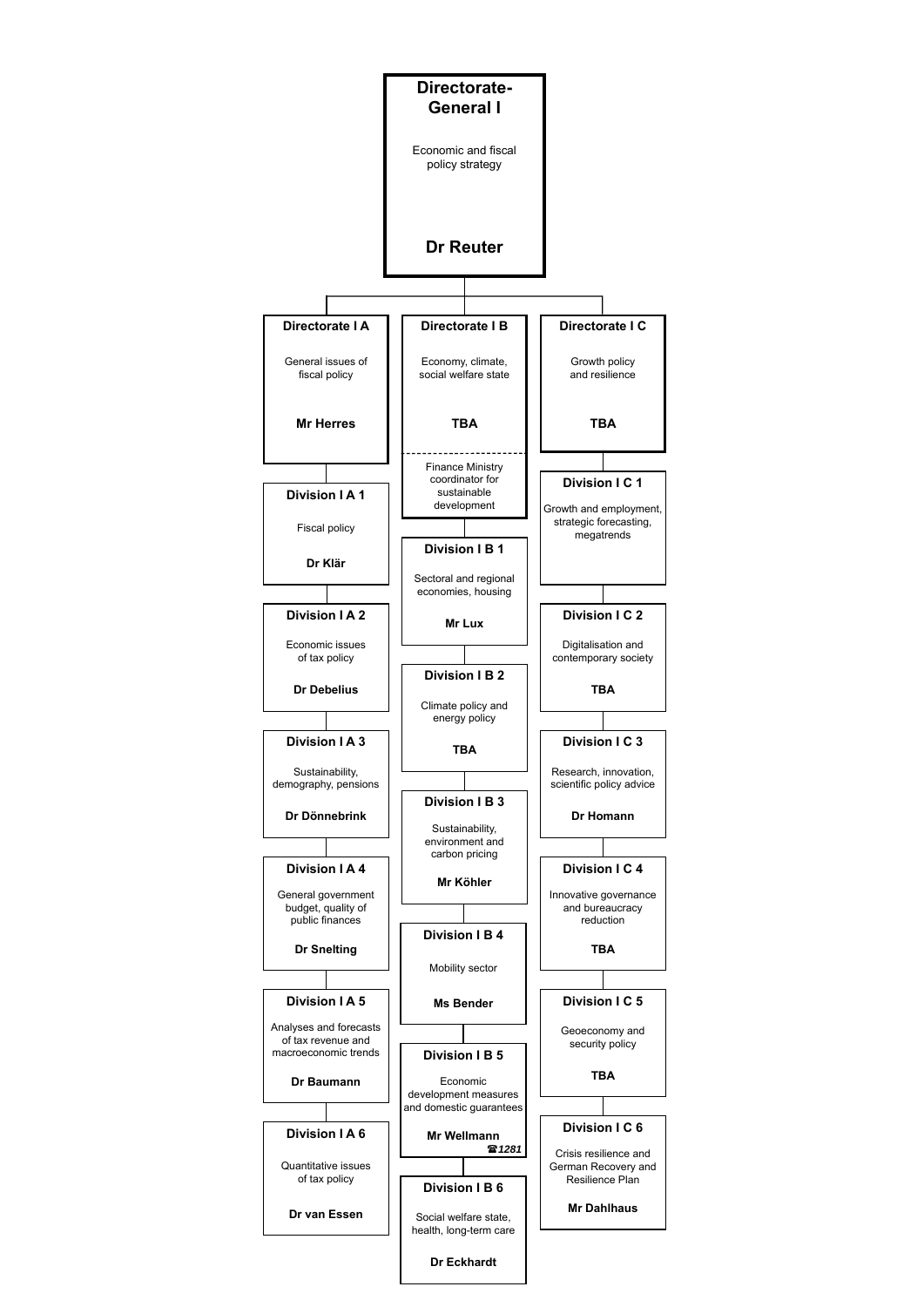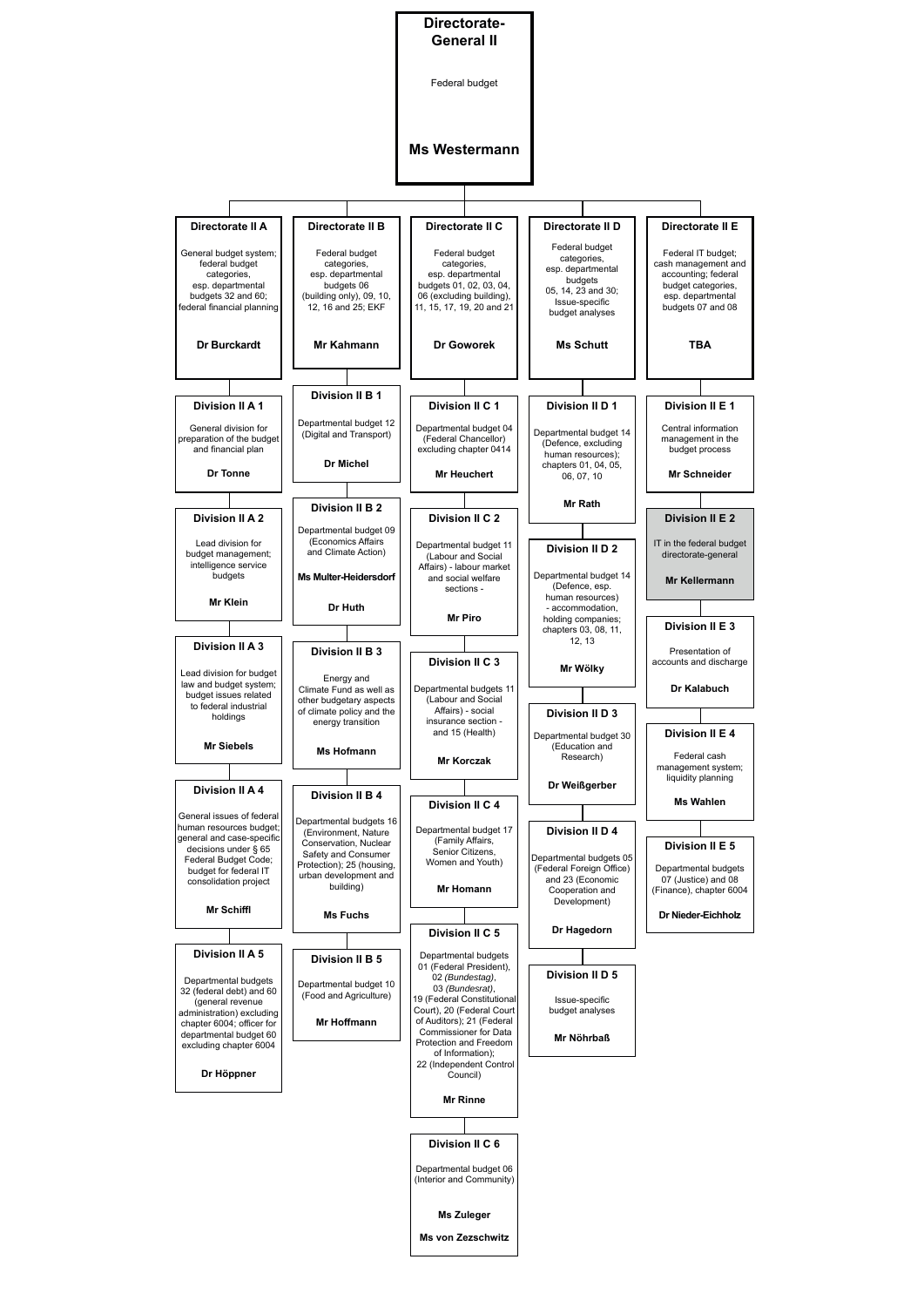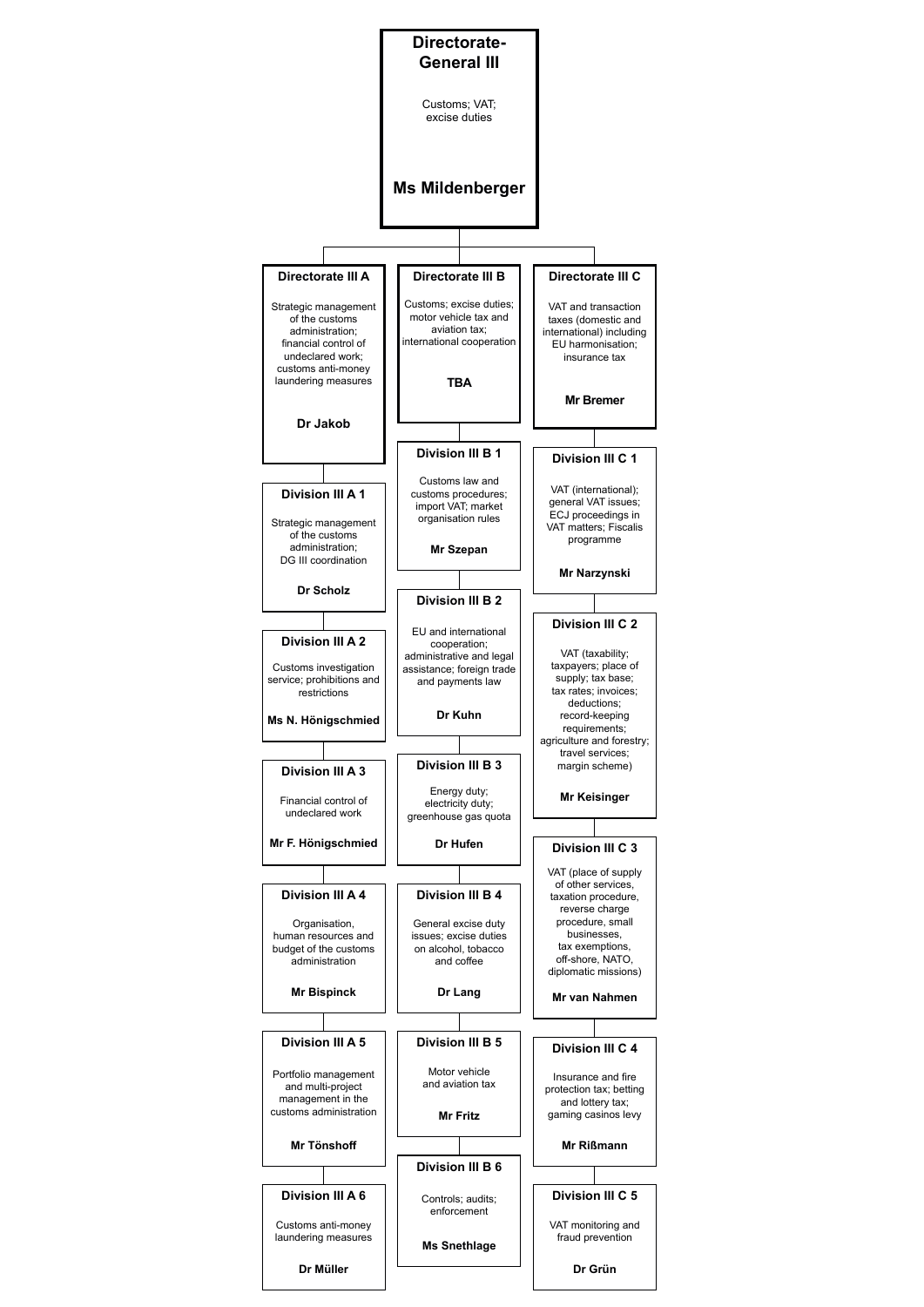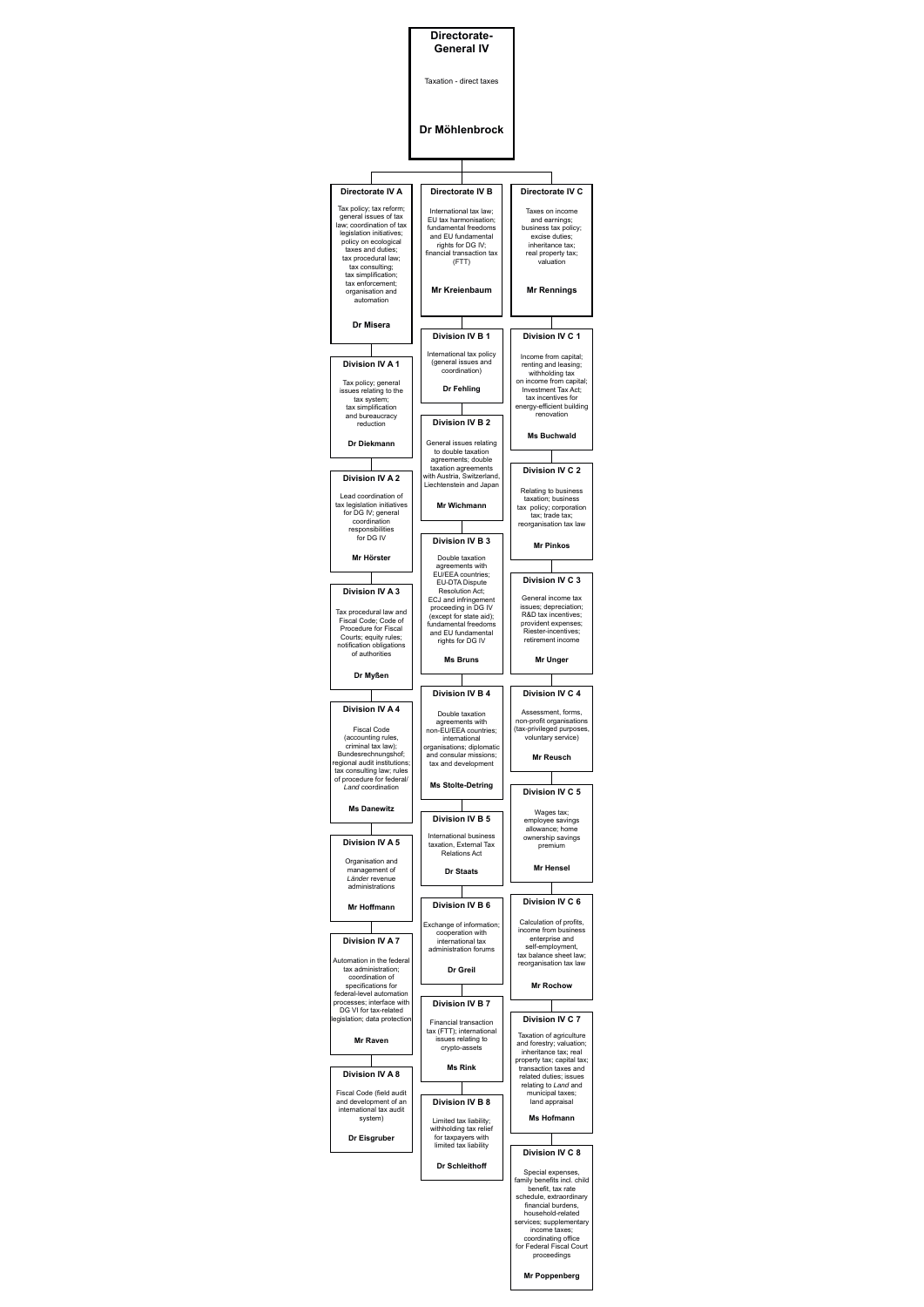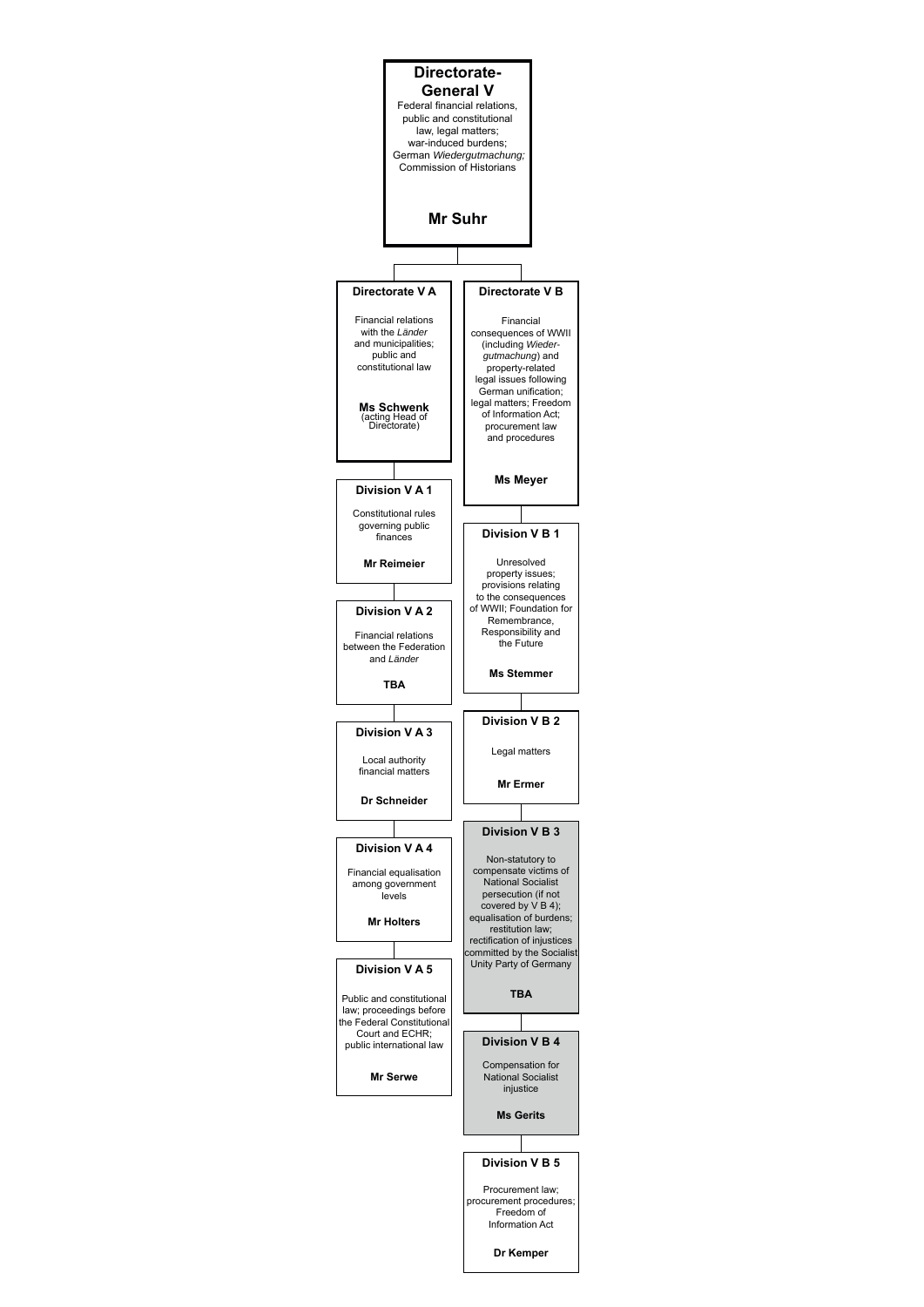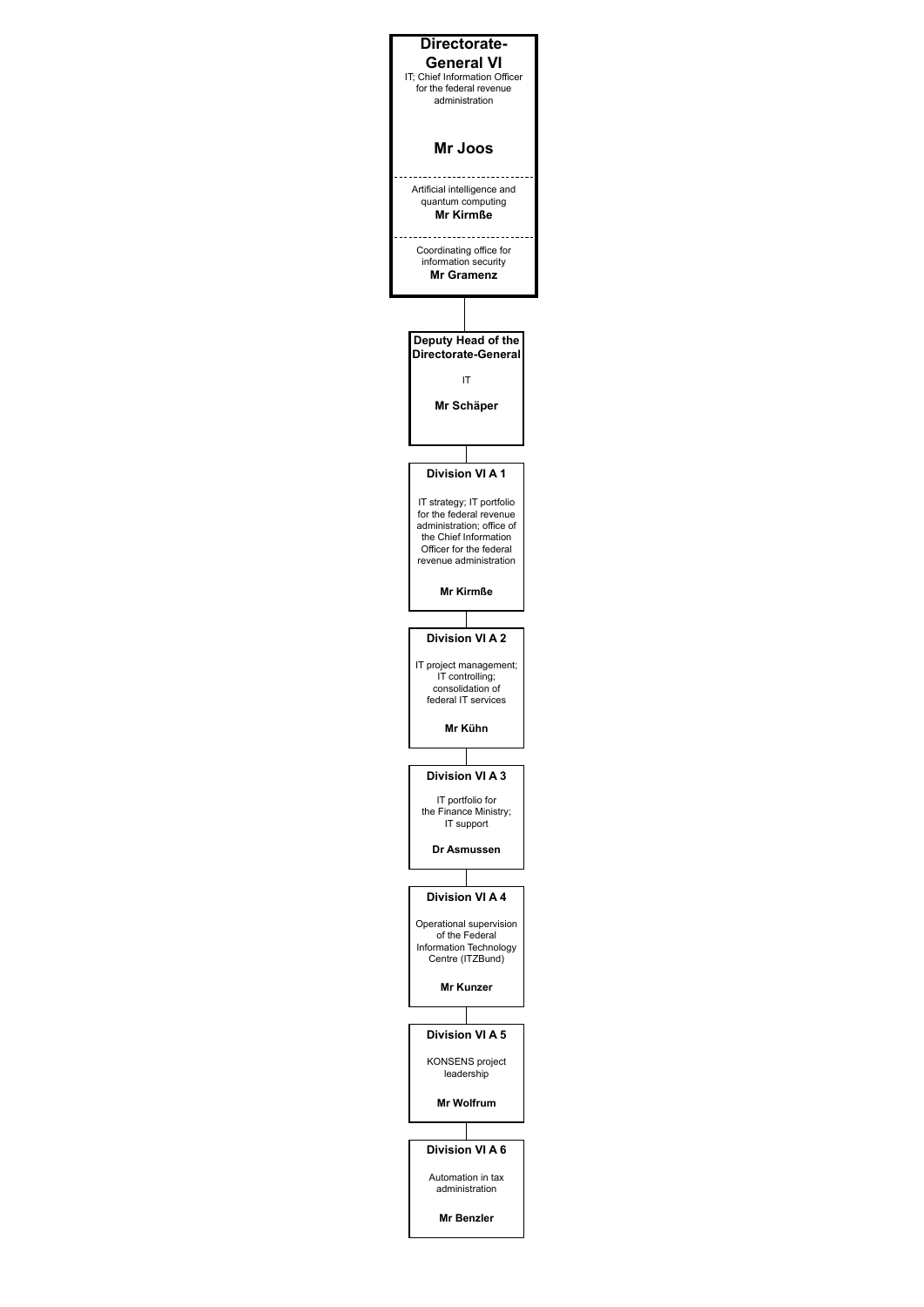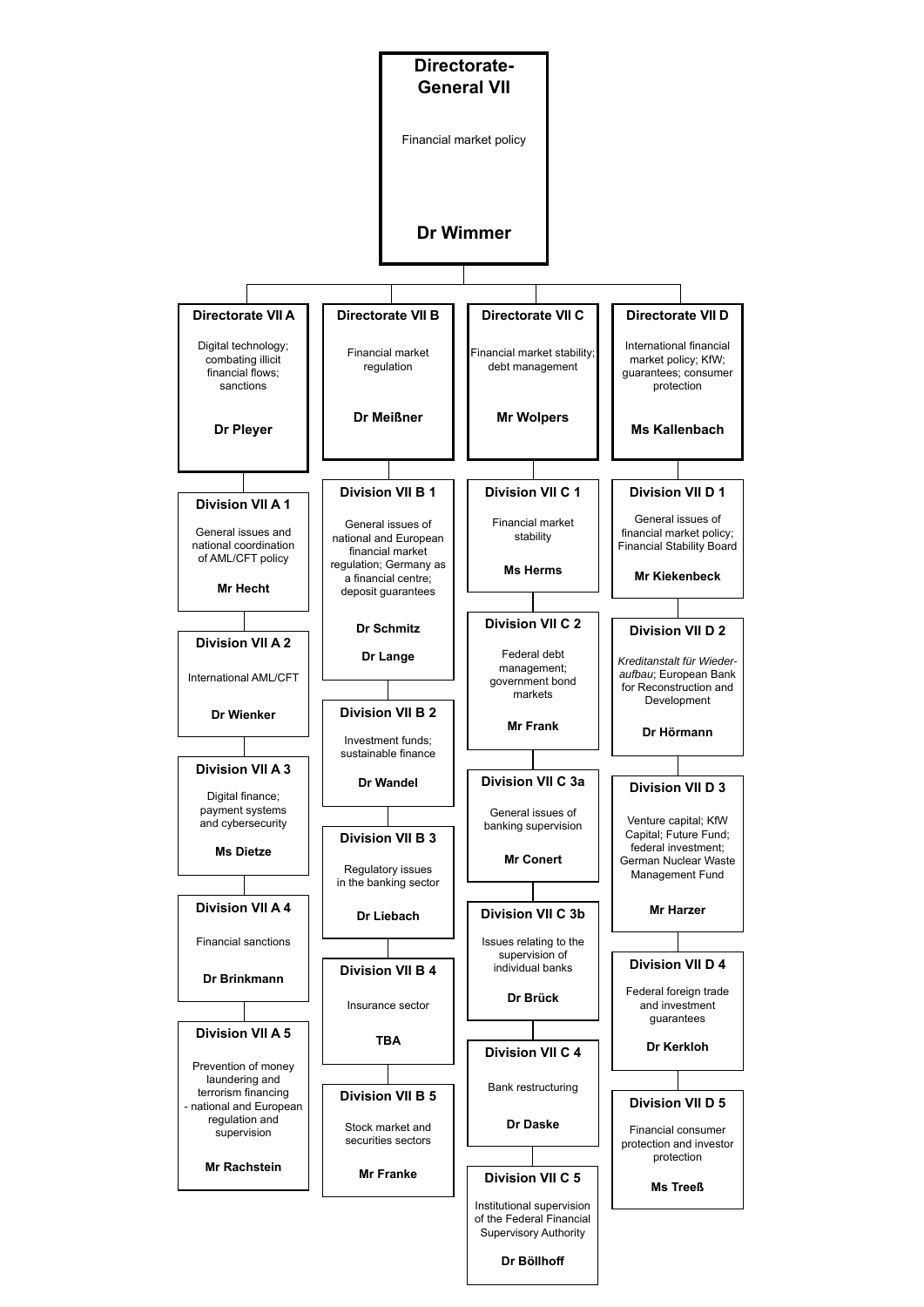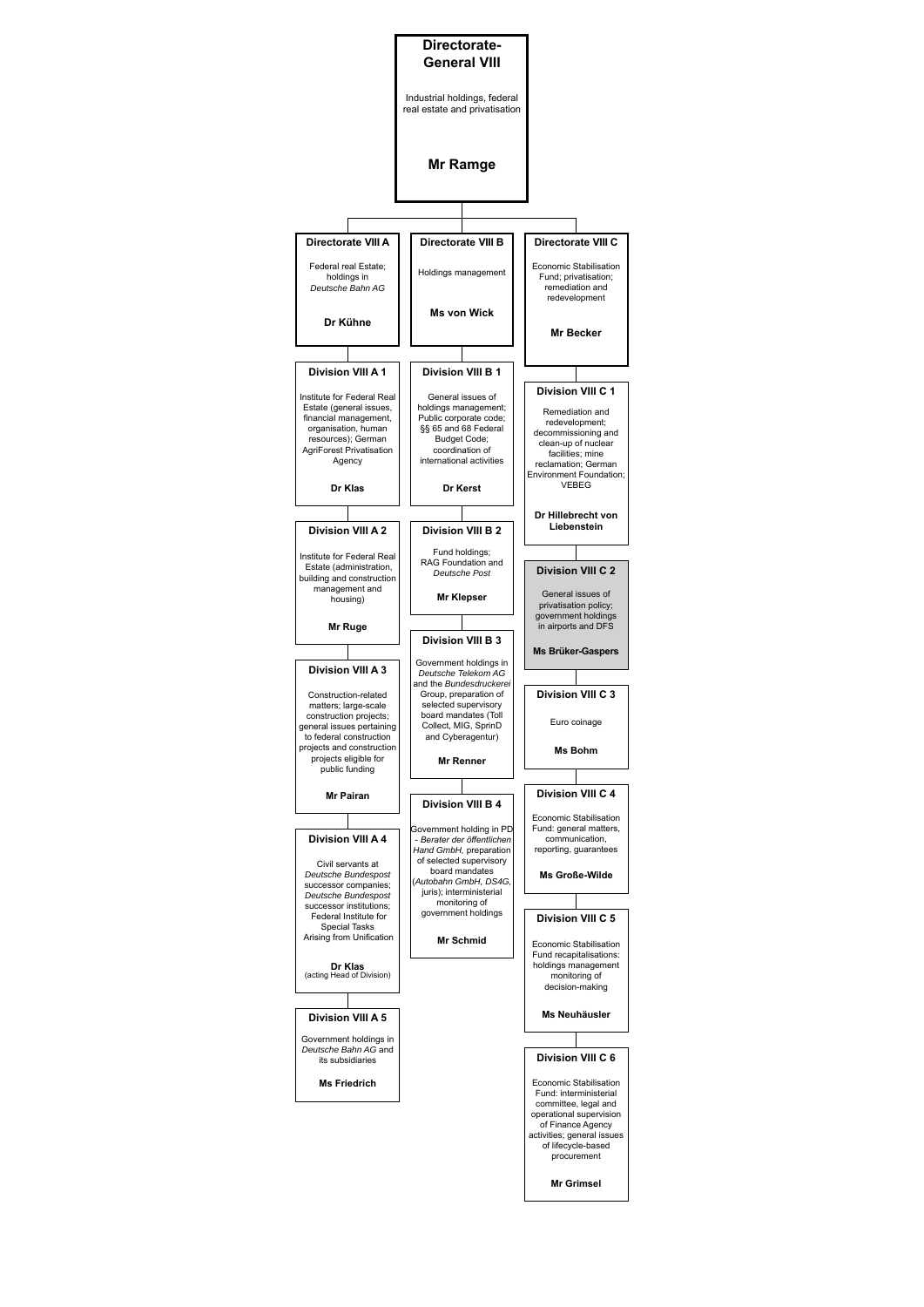